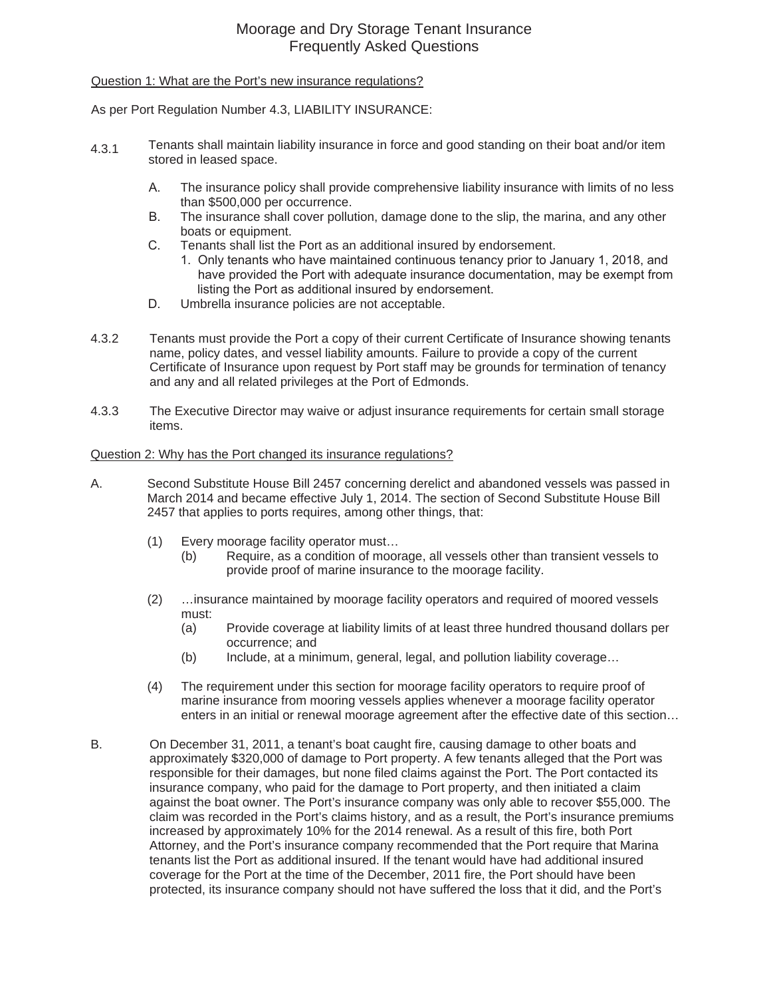# Moorage and Dry Storage Tenant Insurance Frequently Asked Questions

# Question 1: What are the Port's new insurance regulations?

As per Port Regulation Number 4.3, LIABILITY INSURANCE:

- 4.3.1 Tenants shall maintain liability insurance in force and good standing on their boat and/or item stored in leased space.
	- A. The insurance policy shall provide comprehensive liability insurance with limits of no less than \$500,000 per occurrence.
	- B. The insurance shall cover pollution, damage done to the slip, the marina, and any other boats or equipment.
	- C. Tenants shall list the Port as an additional insured by endorsement.
		- 1. Only tenants who have maintained continuous tenancy prior to January 1, 2018, and have provided the Port with adequate insurance documentation, may be exempt from listing the Port as additional insured by endorsement.
	- D. Umbrella insurance policies are not acceptable.
- 4.3.2 Tenants must provide the Port a copy of their current Certificate of Insurance showing tenants name, policy dates, and vessel liability amounts. Failure to provide a copy of the current Certificate of Insurance upon request by Port staff may be grounds for termination of tenancy and any and all related privileges at the Port of Edmonds.
- 4.3.3 The Executive Director may waive or adjust insurance requirements for certain small storage items.

# Question 2: Why has the Port changed its insurance regulations?

- A. Second Substitute House Bill 2457 concerning derelict and abandoned vessels was passed in March 2014 and became effective July 1, 2014. The section of Second Substitute House Bill 2457 that applies to ports requires, among other things, that:
	- (1) Every moorage facility operator must…
		- (b) Require, as a condition of moorage, all vessels other than transient vessels to provide proof of marine insurance to the moorage facility.
	- (2) …insurance maintained by moorage facility operators and required of moored vessels must:
		- (a) Provide coverage at liability limits of at least three hundred thousand dollars per occurrence; and
		- (b) Include, at a minimum, general, legal, and pollution liability coverage…
	- (4) The requirement under this section for moorage facility operators to require proof of marine insurance from mooring vessels applies whenever a moorage facility operator enters in an initial or renewal moorage agreement after the effective date of this section…
- B. On December 31, 2011, a tenant's boat caught fire, causing damage to other boats and approximately \$320,000 of damage to Port property. A few tenants alleged that the Port was responsible for their damages, but none filed claims against the Port. The Port contacted its insurance company, who paid for the damage to Port property, and then initiated a claim against the boat owner. The Port's insurance company was only able to recover \$55,000. The claim was recorded in the Port's claims history, and as a result, the Port's insurance premiums increased by approximately 10% for the 2014 renewal. As a result of this fire, both Port Attorney, and the Port's insurance company recommended that the Port require that Marina tenants list the Port as additional insured. If the tenant would have had additional insured coverage for the Port at the time of the December, 2011 fire, the Port should have been protected, its insurance company should not have suffered the loss that it did, and the Port's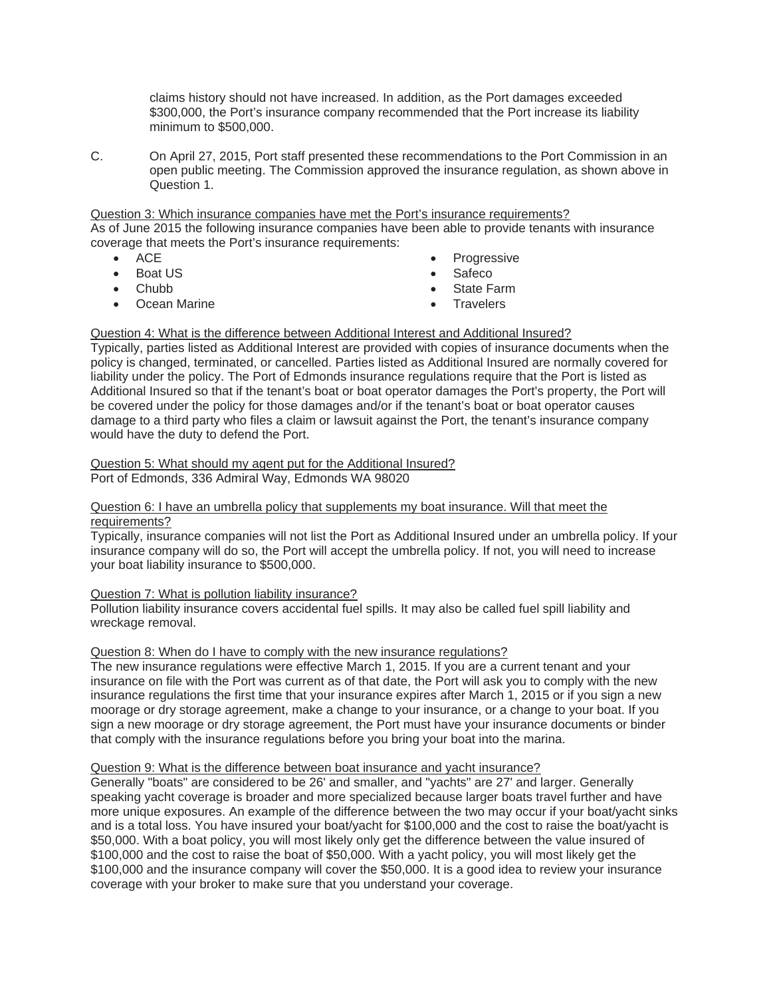claims history should not have increased. In addition, as the Port damages exceeded \$300,000, the Port's insurance company recommended that the Port increase its liability minimum to \$500,000.

C. On April 27, 2015, Port staff presented these recommendations to the Port Commission in an open public meeting. The Commission approved the insurance regulation, as shown above in Question 1.

#### Question 3: Which insurance companies have met the Port's insurance requirements? As of June 2015 the following insurance companies have been able to provide tenants with insurance coverage that meets the Port's insurance requirements:

- **ACE**
- Boat US
- Chubb
- **Ocean Marine**
- Progressive
- $\bullet$  Safeco
- State Farm
- **Travelers**

# Question 4: What is the difference between Additional Interest and Additional Insured?

Typically, parties listed as Additional Interest are provided with copies of insurance documents when the policy is changed, terminated, or cancelled. Parties listed as Additional Insured are normally covered for liability under the policy. The Port of Edmonds insurance regulations require that the Port is listed as Additional Insured so that if the tenant's boat or boat operator damages the Port's property, the Port will be covered under the policy for those damages and/or if the tenant's boat or boat operator causes damage to a third party who files a claim or lawsuit against the Port, the tenant's insurance company would have the duty to defend the Port.

Question 5: What should my agent put for the Additional Insured? Port of Edmonds, 336 Admiral Way, Edmonds WA 98020

# Question 6: I have an umbrella policy that supplements my boat insurance. Will that meet the requirements?

Typically, insurance companies will not list the Port as Additional Insured under an umbrella policy. If your insurance company will do so, the Port will accept the umbrella policy. If not, you will need to increase your boat liability insurance to \$500,000.

# Question 7: What is pollution liability insurance?

Pollution liability insurance covers accidental fuel spills. It may also be called fuel spill liability and wreckage removal.

# Question 8: When do I have to comply with the new insurance regulations?

The new insurance regulations were effective March 1, 2015. If you are a current tenant and your insurance on file with the Port was current as of that date, the Port will ask you to comply with the new insurance regulations the first time that your insurance expires after March 1, 2015 or if you sign a new moorage or dry storage agreement, make a change to your insurance, or a change to your boat. If you sign a new moorage or dry storage agreement, the Port must have your insurance documents or binder that comply with the insurance regulations before you bring your boat into the marina.

# Question 9: What is the difference between boat insurance and yacht insurance?

Generally "boats" are considered to be 26' and smaller, and "yachts" are 27' and larger. Generally speaking yacht coverage is broader and more specialized because larger boats travel further and have more unique exposures. An example of the difference between the two may occur if your boat/yacht sinks and is a total loss. You have insured your boat/yacht for \$100,000 and the cost to raise the boat/yacht is \$50,000. With a boat policy, you will most likely only get the difference between the value insured of \$100,000 and the cost to raise the boat of \$50,000. With a yacht policy, you will most likely get the \$100,000 and the insurance company will cover the \$50,000. It is a good idea to review your insurance coverage with your broker to make sure that you understand your coverage.